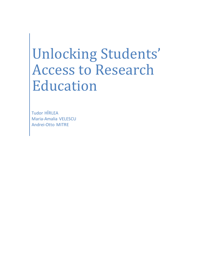# Unlocking Students' Access to Research Education

Tudor HÎRLEA Maria-Amalia VELESCU Andrei-Otto MITRE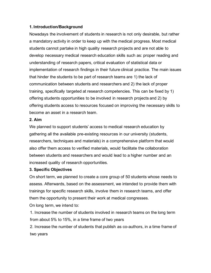## **1. Introduction/Background**

Nowadays the involvement of students in research is not only desirable, but rather a mandatory activity in order to keep up with the medical progress. Most medical students cannot partake in high quality research projects and are not able to develop necessary medical research education skills such as: proper reading and understanding of research papers, critical evaluation of statistical data or implementation of research findings in their future clinical practice. The main issues that hinder the students to be part of research teams are 1) the lack of communication between students and researchers and 2) the lack of proper training, specifically targeted at research competencies. This can be fixed by 1) offering students opportunities to be involved in research projects and 2) by offering students access to resources focused on improving the necessary skills to become an asset in a research team.

#### **2. Aim**

We planned to support students' access to medical research education by gathering all the available pre-existing resources in our university (students, researchers, techniques and materials) in a comprehensive platform that would also offer them access to verified materials, would facilitate the collaboration between students and researchers and would lead to a higher number and an increased quality of research opportunities.

#### **3. Specific Objectives**

On short term, we planned to create a core group of 50 students whose needs to assess. Afterwards, based on the assessment, we intended to provide them with trainings for specific research skills, involve them in research teams, and offer them the opportunity to present their work at medical congresses.

On long term, we intend to:

1. Increase the number of students involved in research teams on the long term from about 5% to 15%, in a time frame of two years

2. Increase the number of students that publish as co-authors, in a time frame of two years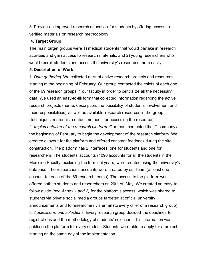3. Provide an improved research education for students by offering access to verified materials on research methodology

## **4. Target Group**

The main target groups were 1) medical students that would partake in research activities and gain access to research materials, and 2) young researchers who would recruit students and access the university's resources more easily.

#### **5. Description of Work**

1. *Data gathering*. We collected a list of active research projects and resources starting at the beginning of February. Our group contacted the chiefs of each one of the 69 research groups in our faculty in order to centralize all the necessary data. We used an easy-to-fill form that collected information regarding the active research projects (name, description, the possibility of students' involvement and their responsibilities) as well as available research resources in the group (techniques, materials, contact methods for accessing the resource).

2. *Implementation of the research platform*. Our team contacted the IT company at the beginning of February to begin the development of the research platform. We created a layout for the platform and offered constant feedback during the site construction. The platform has 2 interfaces: one for students and one for researchers. The students' accounts (4090 accounts for all the students in the Medicine Faculty, excluding the terminal years) were created using the university's database. The researcher's accounts were created by our team (at least one account for each of the 69 research teams). The access to the platform was offered both to students and researchers on 20th of May. We created an easy-tofollow guide *(see Annex 1 and 2)* for the platform's access, which was shared to students via private social media groups targeted at official university announcements and to researchers via email (to every chief of a research group). 3. *Applications and selections***.** Every research group decided the deadlines for registrations and the methodology of students' selection. This information was public on the platform for every student. Students were able to apply for a project starting on the same day of the implementation.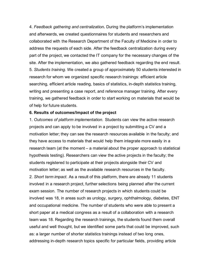4. *Feedback gathering and centralization***.** During the platform's implementation and afterwards, we created questionnaires for students and researchers and collaborated with the Research Department of the Faculty of Medicine in order to address the requests of each side. After the feedback centralization during every part of the project, we contacted the IT company for the necessary changes of the site. After the implementation, we also gathered feedback regarding the end result. 5. *Students training*. We created a group of approximately 50 students interested in research for whom we organized specific research trainings: efficient article searching, efficient article reading, basics of statistics, in-depth statistics training, writing and presenting a case report, and reference manager training. After every training, we gathered feedback in order to start working on materials that would be of help for future students.

#### **6. Results of outcomes/Impact of the project**

1. *Outcomes of platform implementation*. Students can view the active research projects and can apply to be involved in a project by submitting a CV and a motivation letter; they can see the research resources available in the faculty; and they have access to materials that would help them integrate more easily in a research team (at the moment – a material about the proper approach to statistical hypothesis testing). Researchers can view the active projects in the faculty; the students registered to participate at their projects alongside their CV and motivation letter; as well as the available research resources in the faculty. 2. *Short term impact.* As a result of this platform, there are already 11 students involved in a research project, further selections being planned after the current exam session. The number of research projects in which students could be involved was 18, in areas such as urology, surgery, ophthalmology, diabetes, ENT and occupational medicine. The number of students who were able to present a short paper at a medical congress as a result of a collaboration with a research team was 18. Regarding the research trainings, the students found them overall useful and well thought, but we identified some parts that could be improved, such as: a larger number of shorter statistics trainings instead of two long ones, addressing in-depth research topics specific for particular fields, providing article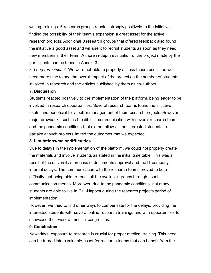writing trainings. 6 research groups reacted strongly positively to the initiative, finding the possibility of their team's expansion a great asset for the active research projects. Additional 8 research groups that offered feedback also found the initiative a good asset and will use it to recruit students as soon as they need new members in their team. A more in-depth evaluation of the project made by the participants can be found in Annex\_3.

3. *Long term impact*. We were not able to properly assess these results, as we need more time to see the overall impact of the project on the number of students involved in research and the articles published by them as co-authors.

## **7. Discussion**

Students reacted positively to the implementation of the platform, being eager to be involved in research opportunities. Several research teams found the initiative useful and beneficial for a better management of their research projects. However, major drawbacks such as the difficult communication with several research teams and the pandemic conditions that did not allow all the interested students to partake at such projects limited the outcomes that we expected.

# **8. Limitations/major difficulties**

Due to delays in the implementation of the platform, we could not properly create the materials and involve students as stated in the initial time table. This was a result of the university's process of documents approval and the IT company's internal delays. The communication with the research teams proved to be a difficulty, not being able to reach all the available groups through usual communication means. Moreover, due to the pandemic conditions, not many students are able to live in Cluj-Napoca during the research projects period of implementation.

However, we tried to find other ways to compensate for the delays, providing the interested students with several online research trainings and with opportunities to showcase their work at medical congresses.

#### **9. Conclusions**

Nowadays, exposure to research is crucial for proper medical training. This need can be turned into a valuable asset for research teams that can benefit from the